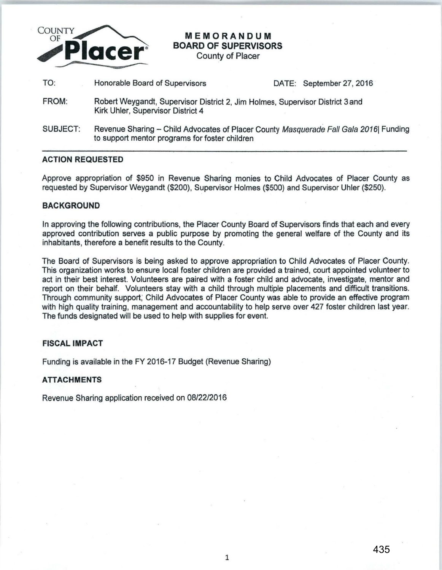

# **MEMORANDUM BOARD OF SUPERVISORS**

County of Placer

TO: Honorable Board of Supervisors **DATE:** September 27, 2016

- FROM: Robert Weygandt, Supervisor District 2, Jim Holmes, Supervisor District 3 and Kirk Uhler, Supervisor District 4
- SUBJECT: Revenue Sharing Child Advocates of Placer County Masquerade Fall Gala 2016| Funding to support mentor programs for foster children

### **ACTION REQUESTED**

Approve appropriation of \$950 in Revenue Sharing monies to Child Advocates of Placer County as requested by Supervisor Weygandt (\$200), Supervisor Holmes (\$500) and Supervisor Uhler (\$250).

### **BACKGROUND**

In approving the following contributions, the Placer County Board of Supervisors finds that each and every approved contribution serves a public purpose by promoting the general welfare of the County and its inhabitants, therefore a benefit results to the County.

The Board of Supervisors is being asked to approve appropriation to Child Advocates of Placer County. This organization works to ensure local foster children are provided a trained, court appointed volunteer to act in their best interest. Volunteers are paired with a foster chiid and advocate, investigate, mentor and report on their behalf. Volunteers stay with a child through multiple placements and difficult transitions. Through community support, Child Advocates of Placer County was able to provide an effective program with high quality training, management and accountability to help serve over 427 foster children last year. The funds designated will be used to help with supplies for event.

# **FISCAL IMPACT**

Funding is available in the FY 2016-17 Budget (Revenue Sharing)

# **ATTACHMENTS**

Revenue Sharing application received on 08/22/2016